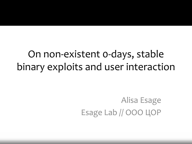#### On non-existent 0-days, stable binary exploits and user interaction

Alisa Esage Esage Lab // ООО ЦОР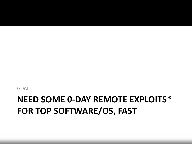#### **NEED SOME 0-DAY REMOTE EXPLOITS\* FOR TOP SOFTWARE/OS, FAST**

GOAL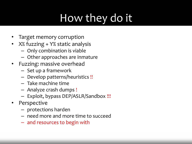# How they do it

- Target memory corruption
- X% fuzzing + Y% static analysis
	- Only combination is viable
	- Other approaches are inmature
- Fuzzing: massive overhead
	- Set up a framework
	- Develop patterns/heuristics !!
	- Take machine time
	- Analyze crash dumps !
	- Exploit, bypass DEP/ASLR/Sandbox !!!
- Perspective
	- protections harden
	- need more and more time to succeed
	- and resources to begin with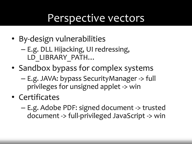#### Perspective vectors

- By-design vulnerabilities
	- E.g. DLL Hijacking, UI redressing, LD\_LIBRARY\_PATH…
- Sandbox bypass for complex systems
	- E.g. JAVA: bypass SecurityManager -> full privileges for unsigned applet -> win
- Certificates
	- E.g. Adobe PDF: signed document -> trusted document -> full-privileged JavaScript -> win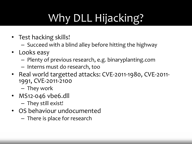# Why DLL Hijacking?

- Test hacking skills!
	- Succeed with a blind alley before hitting the highway
- Looks easy
	- Plenty of previous research, e.g. binaryplanting.com
	- Interns must do research, too
- Real world targetted attacks: CVE-2011-1980, CVE-2011- 1991, CVE-2011-2100
	- They work
- MS12-046 vbe6.dll
	- They still exist!
- OS behaviour undocumented
	- There is place for research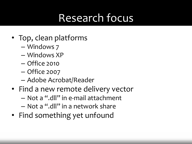## Research focus

- Top, clean platforms
	- Windows 7
	- Windows XP
	- Office 2010
	- Office 2007
	- Adobe Acrobat/Reader
- Find a new remote delivery vector
	- Not a ".dll" in e-mail attachment
	- Not a ".dll" in a network share
- Find something yet unfound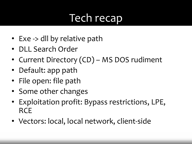# Tech recap

- Exe -> dll by relative path
- DLL Search Order
- Current Directory (CD) MS DOS rudiment
- Default: app path
- File open: file path
- Some other changes
- Exploitation profit: Bypass restrictions, LPE, **RCE**
- Vectors: local, local network, client-side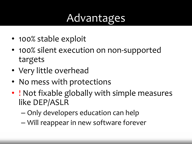#### Advantages

- 100% stable exploit
- 100% silent execution on non-supported targets
- Very little overhead
- No mess with protections
- ! Not fixable globally with simple measures like DEP/ASLR
	- Only developers education can help
	- Will reappear in new software forever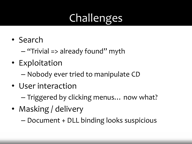# Challenges

- Search
	- "Trivial => already found" myth
- Exploitation
	- Nobody ever tried to manipulate CD
- User interaction
	- Triggered by clicking menus… now what?
- Masking / delivery
	- Document + DLL binding looks suspicious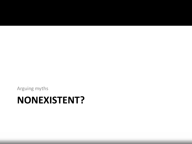#### **NONEXISTENT?**

Arguing myths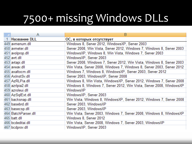## 7500+ missing Windows DLLs

| Α                   | B                                                                      |
|---------------------|------------------------------------------------------------------------|
| <b>Название DLL</b> | ОС, в которых отсутствует                                              |
| 449 avmenum.dll     | Windows 8, Server 2012, WindowsXP, Server 2003                         |
| 450 avmeter.dll     | Server 2008, Win Vista, Server 2012, Windows 7, Windows 8, Server 2003 |
| 451 avolprop.dll    | WindowsXP, Windows 8, Win Vista, Windows 7, Server 2003                |
| 452 avrt.dll        | WindowsXP, Server 2003                                                 |
| 453 avtapi.dll      | Server 2008, Windows 7, Server 2012, Win Vista, Windows 8, Server 2003 |
| 454 avway.dll       | Win Vista, Server 2008, Windows 7, Windows 8, Server 2003, Server 2012 |
| 455 axaltocm.dll    | Windows 7, Windows 8, WindowsXP, Server 2003, Server 2012              |
| 456 AxlnstSv.dll    | Server 2003, WindowsXP, Server 2008                                    |
| 457 AzRLPia.dll     | Windows 8, Win Vista, WindowsXP, Server 2012, Windows 7, Server 2008   |
| 458 azripia2.dll    | Windows 8, Windows 7, Server 2012, Win Vista, Server 2008, WindowsXP   |
| 459 azroleui.dll    | WindowsXP                                                              |
| 460 AzSqlExt.dll    | WindowsXP, Server 2003                                                 |
| 461 backsnap.dll    | Win Vista, Windows 8, WindowsXP, Server 2012, Windows 7, Server 2008   |
| 462 basebrd.dll     | Server 2003, WindowsXP                                                 |
| 463 basecsp.dll     | Server 2003, WindowsXP                                                 |
| 464 BatchParser.dll | Win Vista, Server 2003, Windows 7, Server 2008, Windows 8, WindowsXP   |
| 465 batt.dll        | Windows 8, Server 2012                                                 |
| 466 bcdeditai.dll   | Win Vista, Server 2008, Windows 7, Server 2003, WindowsXP              |
| 467 bcdprov.dll     | WindowsXP, Server 2003                                                 |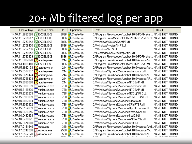### 20+ Mb filtered log per app

Time of Day Process Name 14:57:11.2682566 EXCEL.EXE 14:57:11,2751617 EXCEL.EXE 14:57:11.2753342 EXCEL.EXE 14:57:11,2756400 EXCEL.EXE 14:57:11.2757756 EXCEL.EXE 14:57:11,2759052 EXCEL.EXE 14:57:11.2760329 E EXCEL.EXE 14:57:11,3007070 **1** acrotray.exe 14:57:13,4089440 EXCEL.EXE 14:57:15,4962153 acrotray.exe 14:57:15,6574357 a acrotray.exe 14:57:15,6670424 acrotray.exe Ω 14:57:15.6769404 a acrotray.exe acrotray.exe 14:57:15.6990090 14:57:15,8030169 wmiprvse.exe 14:57:15.8198506 wmiprvse.exe 14:57:15,8267253 wmiprvse.exe 14:57:15,8913089 |wmiprvse.exe 14:57:15,8922964 wmiprvse.exel 14:57:15.9067852 |wmiprvse.exe 14:57:15,9154699 wmipryse.exe 14:57:15,9626356 lwmiprvse.exe 14:57:16,0462638 wmiprvse.exe 14:57:16,0470821 wmipryse.exe 14:57:16,3674810 wmipryse.exe 14:57:17,0191646 csrss.exe 14:57:17,0246286 Acrobat.exe 14:57:17.0562178 Acrobat.exe

| <b>FIL</b> | o heramnu               |
|------------|-------------------------|
| 836        | <b>A</b> CreateFile     |
| 836        | <b>A</b> CreateFile     |
| 836        | <b>L</b> CreateFile     |
| 836        | $\bigcup$ CreateFile    |
| 836        | <b>&amp;</b> CreateFile |
| 836        | <b>L</b> CreateFile     |
| 836        | $\mathsf k$ CreateFile  |
| 244        | $\bigcup$ CreateFile    |
| 836        | $\bigcup$ CreateFile    |
| 244        | $\bigcup$ CreateFile    |
| 244        | <b>L</b> CreateFile     |
| 244        | <b>&amp;</b> CreateFile |
| 244        | <b>∖</b> CreateFile     |
| 244        | <b>&amp;</b> CreateFile |
| 768        | <b>&amp;</b> CreateFile |
| 768        | <b>L</b> CreateFile     |
| 768        | <b>&amp;</b> CreateFile |
| 768        | <b>&amp;</b> CreateFile |
| 768        | <b>L</b> CreateFile     |
| 768        | $\bigcup$ CreateFile    |
| 768        | $\bigcup$ CreateFile    |
| 768        | <b>&amp;</b> CreateFile |
| 768        | <b>&amp;</b> CreateFile |
| 768        | $\mathsf k$ CreateFile  |
| 768        | $\bigcup$ CreateFile    |
| 348        | $\mathsf k$ CreateFile  |
| 568        | <b>A</b> CreateFile     |
| 568        | CreateFile              |
|            |                         |

**DID** Desister

| Path                                                                                   | Result |                |  |
|----------------------------------------------------------------------------------------|--------|----------------|--|
| C:\Program Files\Adobe\Acrobat 10.0\PDFMaker NAME NOT FOUND                            |        |                |  |
| D:\Program Files\Microsoft Office\Office12\MPS.dll_NAME                      NOT FOUND |        |                |  |
| C:\Windows\System32\MPS.dll                                                            |        | NAME NOT FOUND |  |
| C:\Windows\system\MPS.dll                                                              |        | NAME NOT FOUND |  |
| C:\Windows\MPS.dll                                                                     |        | NAME NOT FOUND |  |
| C:\Users\daemon\Desktop\MPS.dll                                                        |        | NAME NOT FOUND |  |
| C:\Program Files\Adobe\Acrobat 10.0\PDFMaker                                           |        | NAME NOT FOUND |  |
| C:\Program Files\Adobe\Acrobat 10.0\Acrobat\nt NAME NOT FOUND                          |        |                |  |
| C:\Program Files\Microsoft Office\Office12\ATMLINAME                      NOT FOUND    |        |                |  |
| C:\Program Files\Adobe\Acrobat 10.0\Acrobat\pr                                         |        | NAME NOT FOUND |  |
| C:\\Windows\System32\wbem\wbemcomn.dll                                                 |        | NAME NOT FOUND |  |
| C:\Program Files\Adobe\Acrobat 10.0\Acrobat\C                                          |        | NAME NOT FOUND |  |
| C:\Program Files\Adobe\Acrobat 10.0\Acrobat\R                                          |        | NAME NOT FOUND |  |
| C:\\w'indows\System32\wbem\NTDSAPI.dll                                                 |        | NAME NOT FOUND |  |
| C:\\Windows\System32\wbem\wbemcomn.dll                                                 |        | NAME NOT FOUND |  |
| C:\\Windows\System32\wbem\NTDSAPI.dll                                                  |        | NAME NOT FOUND |  |
| C:\\Windows\System32\wbem\NCObjAPI.DLL                                                 |        | NAME NOT FOUND |  |
| C:\\w'indows\System32\wbem\CRYPTBASE.dll                                               |        | NAME NOT FOUND |  |
| C:\Windows\System32\wbem\ntmarta.dll                                                   |        | NAME NOT FOUND |  |
| C:\\Windows\System32\wbem\CRYPTSP.dll                                                  |        | NAME NOT FOUND |  |
| 0:\\/\/indows\System32\wbem\RpcRtRemote.dll                                            |        | NAME NOT FOUND |  |
| C:\\Windows\System32\wbem\framedynos.dll                                               |        | NAME NOT FOUND |  |
| C:\Windows\System32\wbem\SspiCli.dll                                                   |        | NAME NOT FOUND |  |
| C:\\w'indows\System32\wbem\\WTSAPI32.dll                                               |        | NAME NOT FOUND |  |
| C:\Windows\System32\wbem\WMI.DLL                                                       |        | NAME NOT FOUND |  |
| C:\Program Files\Adobe\Acrobat 10.0\Acrobat\AdNAME                          NOT FOUND  |        |                |  |
| C:\Program Files\Adobe\Acrobat 10.0\Acrobat\V                                          |        | NAME NOT FOUND |  |
| C:\Program Files\Adobe\Acrobat 10.0\Acrobat\C                                          |        | NAME NOT FOUND |  |
|                                                                                        |        |                |  |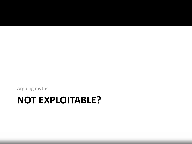#### **NOT EXPLOITABLE?**

Arguing myths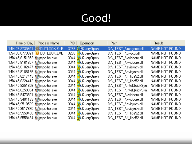# Good!

|                                | Time of Day   Process Name | PID. | <b>Operation</b>        | Path.                    | Result         |
|--------------------------------|----------------------------|------|-------------------------|--------------------------|----------------|
| 1:54:23,2735941                | ÎOUTLOOK.EXE               |      | 3288 .SQueryDpen        | D:\ TEST \imageres.dll   | NAME NOT FOUND |
| 1:54:35,0773821                | OUTLOOK.EXE                |      | 3288 <b>K</b> QueryOpen | D:\ TEST \cryptui.dll    | NAME NOT FOUND |
| 1:54:45,8151853                | <b>Galmpc-hc.exe</b>       |      | 3044 <b>N</b> QueryOpen | D:\_TEST_\xvidcore.dll   | NAME NOT FOUND |
| 1:54:45,8161857                | <b>Galmpc-hc.exe</b>       |      | 3044 <b>R</b> QueryOpen | D:\ TEST \wvidcore.dll   | NAME NOT FOUND |
| 1:54:45,8182477 6 mpc-hc.exe   |                            |      | 3044 <b>R</b> QueryOpen | D:\ TEST \avisynth.dll   | NAME NOT FOUND |
| 1:54:45,8188166 63 mpc-hc.exe  |                            |      | 3044 <b>N</b> QueryOpen | D:\ TEST \avisynth.dll   | NAME NOT FOUND |
| 1:54:45,8217443 6 mpc-hc.exe   |                            |      | 3044 <b>N</b> QueryOpen | D:\ TEST \ff liba52.dll  | NAME NOT FOUND |
| 1:54:45,8224413 6 mpc-hc.exe   |                            |      | 3044 <b>N</b> QueryOpen | D:\ TEST \ff liba52.dll  | NAME NOT FOUND |
| 1:54:45,8251856 for mpc-hc.exe |                            |      | 3044 <b>N</b> QueryOpen | D:\ TEST_\IntelQuickSyn  | NAME NOT FOUND |
| 1:54:45,8259004                | <b>Galmpc-hc.exe</b>       |      | 3044 <b>N</b> QueryOpen | D:\ TEST \IntelQuickSyn. | NAME NOT FOUND |
| 1:54:45,9473821                | <b>Gailmpc-hc.exe</b>      |      | 3044 <b>N</b> QueryOpen | D:\ TEST \xvidcore.dll   | NAME NOT FOUND |
| 1:54:45,9481133                | salmpc-hc.exe              |      | 3044 <b>R</b> QueryOpen | D:\_TEST_\xvidcore.dll   | NAME NOT FOUND |
| 1:54:45,9510509                | <b>Salmpc-hc.exe</b>       |      | 3044 <b>N</b> QueryOpen | D:\ TEST \avisynth.dll   | NAME NOT FOUND |
| 1:54:45,9517870                | <b>Galmpc-hc.exe</b>       |      | 3044 <b>N</b> QueryOpen | D:\ TEST \avisynth.dll   | NAME NOT FOUND |
| 1:54:45,9550430                | <b>Gaimpe-hc.exe</b>       |      | 3044 <b>N</b> QueryOpen | D:\ TEST \ff liba52.dll  | NAME NOT FOUND |
| 1:54:45,9558464 60 mpc-hc.exe  |                            |      | 3044 <b>N</b> QueryOpen | D:\ TEST \ff_liba52.dll  | NAME NOT FOUND |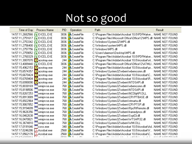## Not so good

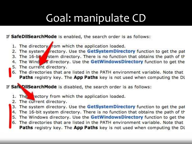## Goal: manipulate CD

If SafeDilSearchMode is enabled, the search order is as follows:

- 1. The directory from which the application loaded.
- 2. The system rectory. Use the GetSystemDirectory function to get the pat
- 3. The 16-bit stem directory. There is no function that obtains the path of the
- The Wind as directory. Use the GetWindowsDirectory function to get the
- 5. The current directory.
- 6. The directories that are listed in the PATH environment variable. Note that Paths registry key. The App Paths key is not used when computing the DL

If SafeDIISearchMode is disabled, the search order is as follows:

- rectory from which the application loaded. 1. The
- The current directory. 2.
- The system directory. Use the GetSystemDirectory function to get the pat 3.
- 4. The 16-bit system directory. There is no function that obtains the path of the
- 5. The Windows directory. Use the GetWindowsDirectory function to get the
- 6. The directories that are listed in the PATH environment variable. Note that Paths registry key. The App Paths key is not used when computing the DI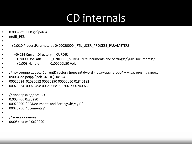### CD internals

- 0:005> dt \_PEB @\$peb -r
- ntdll! PEB
- ...
- +0x010 ProcessParameters : 0x00020000 \_RTL\_USER\_PROCESS\_PARAMETERS
- $\bullet$  ...
- +0x024 CurrentDirectory : \_CURDIR
- +0x000 DosPath : \_UNICODE\_STRING "C:\Documents and Settings\h\My Documents\"
	- +0x008 Handle : 0x00000b50 Void
- •
- $\frac{1}{10}$  получение адреса CurrentDirectory (первый dword размеры, второй указатель на строку)
- 0:005> dd poi(@\$peb+0x010)+0x024
- 00020024 02080052 00020290 00000b50 01840182
- 00020034 00020498 006e006c 0002061c 00740072
- // проверка адреса CD
- 0:005> du 0x20290
- 00020290 "C:\Documents and Settings\h\My D"
- 000202d0 "ocuments\"
- •
- // точка останова
- 0:005> ba w 4 0x20290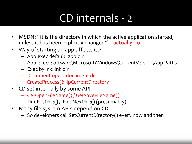## CD internals - 2

- MSDN: "it is the directory in which the active application started, unless it has been explicitly changed" – actually no
- Way of starting an app affects CD
	- App exec default: app dir
	- App exec: Software\Microsoft\Windows\CurrentVersion\App Paths
	- Exec by lnk: lnk dir
	- Document open: document dir
	- CreateProcess(): lpCurrentDirectory
- CD set internally by some API
	- GetOpenFileName() / GetSaveFileName()
	- FindFirstFile() / FindNextFile() (presumably)
- Many file system APIs depend on CD
	- So developers call SetCurrentDirectory() every now and then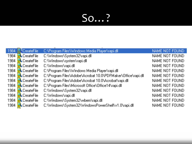## So...?

| 1984 .SCreateFile        | C:\Program Files\\Windows Media Player\rapi.dll              | NAME NOT FOUND  |
|--------------------------|--------------------------------------------------------------|-----------------|
| 1984 <b>N</b> CreateFile | C:\Windows\System32\rapi.dll                                 | NAME NOT FOUND  |
| 1984 <b>N</b> CreateFile | C:\Windows\system\rapi.dll                                   | NAME NOT FOUND  |
| 1984 <b>- CreateFile</b> | C:\Windows\rapi.dll                                          | NAME NOT FOUND  |
| 1984 <b>N</b> CreateFile | C:\Program Files\Windows Media Player\rapi.dll               | NAME NOT FOUND  |
| 1984 <b>N</b> CreateFile | C:\Program Files\Adobe\Acrobat 10.0\PDFMaker\Office\rapi.dll | NAME NOT FOUND  |
| 1984 <b>R</b> CreateFile | C:\Program Files\Adobe\Acrobat 10.0\Acrobat\rapi.dll         | NAME NOT FOUND  |
| 1984 <b>R</b> CreateFile | C:\Program Files\Microsoft Office\Office14\rapi.dll          | NAME NOT FOUND  |
| 1984 <b>N</b> CreateFile | C:\Windows\System32\rapi.dll                                 | NAME NOT FOUND. |
| 1984 <b>N</b> CreateFile | C:\\Windows\rapi.dll                                         | NAME NOT FOUND  |
| 1984 <b>R</b> CreateFile | C:\Windows\System32\wbem\rapi.dll                            | NAME NOT FOUND  |
| 1984 <b>N</b> CreateFile | C:\Windows\System32\WindowsPowerShell\v1.0\rapi.dll          | NAME NOT FOUND  |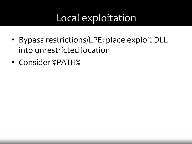#### Local exploitation

- Bypass restrictions/LPE: place exploit DLL into unrestricted location
- Consider %PATH%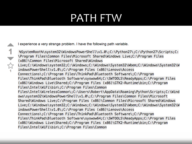#### PATH FTW

I experience a very strange problem. I have the following path variable.

1  $\frac{1}{2}$ 

%SystemRoot%\system32\WindowsPowerShell\v1.0\;C:\Python27\;C:\Python27\Scripts;C: \Program Files\Common Files\Microsoft Shared\Windows Live;C:\Program Files (x86)\Common Files\Microsoft Shared\Windows Live;C:\Windows\system32;C:\Windows;C:\Windows\System32\Wbem;C:\Windows\System32\W indowsPowerShell\v1.0\;C:\Program Files (x86)\Lenovo\Access Connections\;C:\Program Files\ThinkPad\Bluetooth Software\;C:\Program Files\ThinkPad\Bluetooth Software\syswow64;C:\SWT00LS\ReadyApps;C:\Program Files (x86)\Windows Live\Shared;C:\Program Files (x86)\GTK2-Runtime\bin;C:\Program Files\Intel\WiFi\bin\;C:\Program Files\Common Files\Intel\WirelessCommon\;C:\Users\Robert\AppData\Roaming\Python\Scripts;C:\Wind ows\system32\WindowsPowerShell\v1.0\;C:\Program Files\Common Files\Microsoft Shared\Windows Live;C:\Program Files (x86)\Common Files\Microsoft Shared\Windows Live;C:\Windows\system32;C:\Windows;C:\Windows\System32\Wbem;C:\Windows\System32\W indowsPowerShell\v1.0\;C:\Program Files (x86)\Lenovo\Access Connections\;C:\Program Files\ThinkPad\Bluetooth Software\;C:\Program Files\ThinkPad\Bluetooth Software\syswow64;C:\SWT00LS\ReadyApps;C:\Program Files (x86)\Windows Live\Shared;C:\Program Files (x86)\GTK2-Runtime\bin;C:\Program Files\Intel\WiFi\bin\;C:\Program Files\Common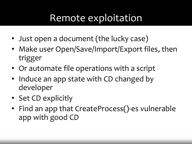#### Remote exploitation

- Just open a document (the lucky case)
- Make user Open/Save/Import/Export files, then trigger
- Or automate file operations with a script
- Induce an app state with CD changed by developer
- Set CD explicitly
- Find an app that CreateProcess()-es vulnerable app with good CD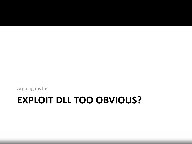# **EXPLOIT DLL TOO OBVIOUS?**

Arguing myths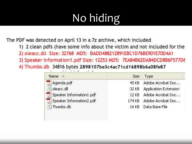# No hiding

The PDF was detected on April 13 in a 7z archive, which included

- 1) 2 clean pdfs (have some info about the victim and not included for the
- 2) oleacc.dll Size: 32768 MD5: BADD488212891EBC1D76BE901E70D4A1
- 3) Speaker information1.pdf Size: 12253 MD5: 7EA84B62DA84DCD8B6F577D6
- 4) Thumbs.db 34816 bytes 2898107be3c4ac71cd16898b6a08fe87

| Name.                    | <b>Size</b> | Type                  |
|--------------------------|-------------|-----------------------|
| Agenda.pdf               | 45 KB       | Adobe Acrobat Doc     |
| oleacc.dll               | 32 KB       | Application Extension |
| Speaker Information1.pdf | 12 KB       | Adobe Acrobat Doc     |
| Speaker Information2.pdf | 174 KB      | Adobe Acrobat Doc     |
| Thumbs.db                | 16 KB       | Data Base File        |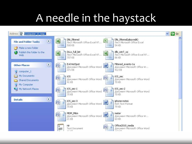## A needle in the haystack

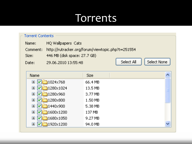#### Torrents

|                           | <b>Torrent Contents</b>                                       |                     |                   |            |             |  |  |  |  |
|---------------------------|---------------------------------------------------------------|---------------------|-------------------|------------|-------------|--|--|--|--|
|                           | Name:                                                         | HQ Wallpapers Cats  |                   |            |             |  |  |  |  |
|                           | http://rutracker.org/forum/viewtopic.php?t=251554<br>Comment: |                     |                   |            |             |  |  |  |  |
|                           | 446 MB (disk space: 27.7 GB)<br>Size:                         |                     |                   |            |             |  |  |  |  |
|                           | Date:                                                         | 29.06.2010 13:55:48 |                   | Select All | Select None |  |  |  |  |
|                           |                                                               |                     |                   |            |             |  |  |  |  |
|                           | Name                                                          |                     | <b>Size</b>       |            |             |  |  |  |  |
|                           | E<br>IV                                                       | 1024x768            | 66.4 MB           |            |             |  |  |  |  |
|                           | E                                                             | 1280x1024           | 13.5 MB           |            |             |  |  |  |  |
|                           | $\mathbf{F}$                                                  | 1280x960            | 3.77 MB           |            |             |  |  |  |  |
|                           | E                                                             | 1280x800            | 1.50 MB           |            |             |  |  |  |  |
|                           | 1440×900<br>匤                                                 |                     | 5.38 MB           |            |             |  |  |  |  |
|                           | 1600x1200<br>匤<br>V                                           |                     | 137 MB            |            |             |  |  |  |  |
| 1680x1050<br>$\mathbf{F}$ |                                                               |                     | $9.27 \text{ MB}$ |            |             |  |  |  |  |
|                           | E                                                             | 1920x1200           | 94.0 MB           |            |             |  |  |  |  |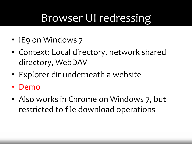## Browser UI redressing

- IE9 on Windows 7
- Context: Local directory, network shared directory, WebDAV
- Explorer dir underneath a website
- Demo
- Also works in Chrome on Windows 7, but restricted to file download operations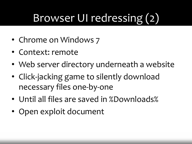# Browser UI redressing (2)

- Chrome on Windows 7
- Context: remote
- Web server directory underneath a website
- Click-jacking game to silently download necessary files one-by-one
- Until all files are saved in %Downloads%
- Open exploit document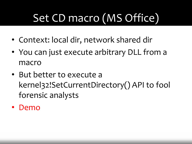# Set CD macro (MS Office)

- Context: local dir, network shared dir
- You can just execute arbitrary DLL from a macro
- But better to execute a kernel32!SetCurrentDirectory() API to fool forensic analysts
- Demo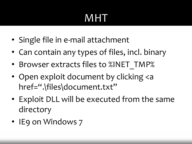# MHT

- Single file in e-mail attachment
- Can contain any types of files, incl. binary
- Browser extracts files to %INET TMP%
- Open exploit document by clicking <a href=".\files\document.txt"
- Exploit DLL will be executed from the same directory
- IE9 on Windows 7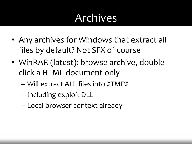#### Archives

- Any archives for Windows that extract all files by default? Not SFX of course
- WinRAR (latest): browse archive, doubleclick a HTML document only
	- Will extract ALL files into %TMP%
	- Including exploit DLL
	- Local browser context already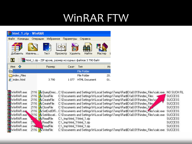#### WinRAR FTW

|          | html_1.zip - WinRAR |                                                             |           |          |           |     |                      |        |     |
|----------|---------------------|-------------------------------------------------------------|-----------|----------|-----------|-----|----------------------|--------|-----|
| Файл     | Команды             | Операции                                                    | Избранное |          | Параметры |     | Справка              |        |     |
| Добавить |                     | Извлечь                                                     | Тест      | Просмотр | Удалить   |     | Найти                | Мастер |     |
| m        |                     | 建 html_1.zip - ZIP архив, размер исходных файлов 3 790 байт |           |          |           |     |                      |        |     |
| Имя      | ≎                   |                                                             | Размер    |          | Сжат      | Тип |                      |        | Из  |
|          |                     |                                                             |           |          |           |     | File Folder          |        |     |
|          | index_Files         |                                                             |           |          |           |     | File Folder          |        | 20. |
|          | index.html          |                                                             | 3790      |          | 1 077     |     | <b>HTML</b> Document |        | 01. |

| WinRAR.exe |        |                         | 2116 A QueryDirec C:\Documents and Settings\h\Local Settings\Temp\Rar\$EXa0.019\index_Files\calc.exe           | NO SUCH FIL    |
|------------|--------|-------------------------|----------------------------------------------------------------------------------------------------------------|----------------|
| WinRAR.exe |        | 2116 <b>ACloseFile</b>  | C:\Documents and Settings\h\Local Settings\Temp\Rar\$EXa0.019\index_Files                                      | SUCCESS.       |
| WinRAR.exe |        | 2116 CreateFile         | C:\Documents and Settings\h\Local Settings\Temp\Rar\$EXa0.019\index_Files\cal                                  | SUCCESS.       |
| WinRAR.exe |        | 2116 CreateFile         | C:\Documents and Settings\h\Local Settings\Temp\Rar\$EXa0.019\index_Files                                      | SUCCESS.       |
| WinRAR.exe |        | 2116 <b>A</b> CloseFile | C:\Documents and Settings\h\Local Settings\Temp\Rar\$EXa0.019\index File                                       | <b>SUCCESS</b> |
| WinRAR.exp |        |                         | 2116 - SetEndOfFiC:\Documents and Settings\h\Local Settings\Temp\Rar\$EXa0.019\index_Files\calc.exe            | <b>SUCCESS</b> |
| WinRAR.exe |        |                         | 22116 M SetAllocati C:\Documents and Settings\h\Local Settings\Temp\Rar\$EXa0.019\index_Files\calc.exe_SUCCESS |                |
| WinRAR.exe |        | <b>6 - A</b> ReadFile   | C:\_tmp\html_1\html_1.zip                                                                                      | <b>SUCCESS</b> |
| WinRAR.exe | 21.    | ReadFile                | C:\ tmp\html 1\html 1.zip                                                                                      | <b>SUCCESS</b> |
| WinRAR.exe | $21 -$ | ReadFile                | C:\ tmp\html 1\html 1.zip                                                                                      | SUCCESS        |
| WinRAR.exe |        | 2116 WriteFile          | C:\Documents and Settings\h\Local Settings\Temp\Rar\$EXa0.019\index_Files\calc.exe SUCCESS                     |                |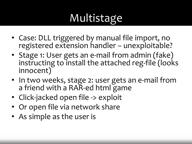# Multistage

- Case: DLL triggered by manual file import, no registered extension handler – unexploitable?
- Stage 1: User gets an e-mail from admin (fake) instructing to install the attached reg-file (looks innocent)
- In two weeks, stage 2: user gets an e-mail from a friend with a RAR-ed html game
- Click-jacked open file -> exploit
- Or open file via network share
- As simple as the user is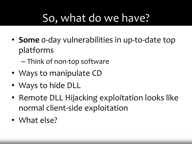## So, what do we have?

- **Some** 0-day vulnerabilities in up-to-date top platforms
	- Think of non-top software
- Ways to manipulate CD
- Ways to hide DLL
- Remote DLL Hijacking exploitation looks like normal client-side exploitation
- What else?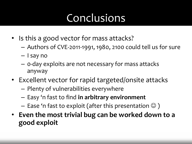### Conclusions

- Is this a good vector for mass attacks?
	- Authors of CVE-2011-1991, 1980, 2100 could tell us for sure
	- I say no
	- 0-day exploits are not necessary for mass attacks anyway
- Excellent vector for rapid targeted/onsite attacks
	- Plenty of vulnerabilities everywhere
	- Easy 'n fast to find **in arbitrary environment**
	- Ease 'n fast to exploit (after this presentation  $\odot$  )
- **Even the most trivial bug can be worked down to a good exploit**